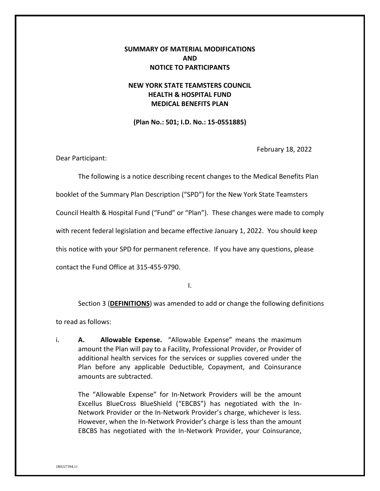# **SUMMARY OF MATERIAL MODIFICATIONS AND NOTICE TO PARTICIPANTS**

# **NEW YORK STATE TEAMSTERS COUNCIL HEALTH & HOSPITAL FUND MEDICAL BENEFITS PLAN**

**(Plan No.: 501; I.D. No.: 15-0551885)**

February 18, 2022

Dear Participant:

The following is a notice describing recent changes to the Medical Benefits Plan booklet of the Summary Plan Description ("SPD") for the New York State Teamsters Council Health & Hospital Fund ("Fund" or "Plan"). These changes were made to comply with recent federal legislation and became effective January 1, 2022. You should keep this notice with your SPD for permanent reference. If you have any questions, please contact the Fund Office at 315-455-9790.

I.

Section 3 (**DEFINITIONS**) was amended to add or change the following definitions

to read as follows:

i. **A. Allowable Expense.** "Allowable Expense" means the maximum amount the Plan will pay to a Facility, Professional Provider, or Provider of additional health services for the services or supplies covered under the Plan before any applicable Deductible, Copayment, and Coinsurance amounts are subtracted.

The "Allowable Expense" for In-Network Providers will be the amount Excellus BlueCross BlueShield ("EBCBS") has negotiated with the In-Network Provider or the In-Network Provider's charge, whichever is less. However, when the In-Network Provider's charge is less than the amount EBCBS has negotiated with the In-Network Provider, your Coinsurance,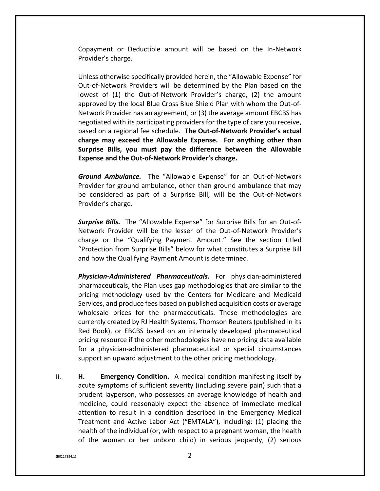Copayment or Deductible amount will be based on the In-Network Provider's charge.

Unless otherwise specifically provided herein, the "Allowable Expense" for Out-of-Network Providers will be determined by the Plan based on the lowest of (1) the Out-of-Network Provider's charge, (2) the amount approved by the local Blue Cross Blue Shield Plan with whom the Out-of-Network Provider has an agreement, or (3) the average amount EBCBS has negotiated with its participating providers for the type of care you receive, based on a regional fee schedule. **The Out-of-Network Provider's actual charge may exceed the Allowable Expense. For anything other than Surprise Bills, you must pay the difference between the Allowable Expense and the Out-of-Network Provider's charge.**

*Ground Ambulance.* The "Allowable Expense" for an Out-of-Network Provider for ground ambulance, other than ground ambulance that may be considered as part of a Surprise Bill, will be the Out-of-Network Provider's charge.

*Surprise Bills.* The "Allowable Expense" for Surprise Bills for an Out-of-Network Provider will be the lesser of the Out-of-Network Provider's charge or the "Qualifying Payment Amount." See the section titled "Protection from Surprise Bills" below for what constitutes a Surprise Bill and how the Qualifying Payment Amount is determined.

*Physician-Administered Pharmaceuticals.* For physician-administered pharmaceuticals, the Plan uses gap methodologies that are similar to the pricing methodology used by the Centers for Medicare and Medicaid Services, and produce fees based on published acquisition costs or average wholesale prices for the pharmaceuticals. These methodologies are currently created by RJ Health Systems, Thomson Reuters (published in its Red Book), or EBCBS based on an internally developed pharmaceutical pricing resource if the other methodologies have no pricing data available for a physician-administered pharmaceutical or special circumstances support an upward adjustment to the other pricing methodology.

ii. **H. Emergency Condition.** A medical condition manifesting itself by acute symptoms of sufficient severity (including severe pain) such that a prudent layperson, who possesses an average knowledge of health and medicine, could reasonably expect the absence of immediate medical attention to result in a condition described in the Emergency Medical Treatment and Active Labor Act ("EMTALA"), including: (1) placing the health of the individual (or, with respect to a pregnant woman, the health of the woman or her unborn child) in serious jeopardy, (2) serious

 ${80227394.1}$  2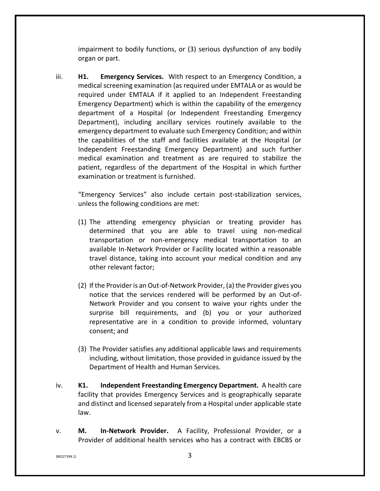impairment to bodily functions, or (3) serious dysfunction of any bodily organ or part.

iii. **H1. Emergency Services.** With respect to an Emergency Condition, a medical screening examination (as required under EMTALA or as would be required under EMTALA if it applied to an Independent Freestanding Emergency Department) which is within the capability of the emergency department of a Hospital (or Independent Freestanding Emergency Department), including ancillary services routinely available to the emergency department to evaluate such Emergency Condition; and within the capabilities of the staff and facilities available at the Hospital (or Independent Freestanding Emergency Department) and such further medical examination and treatment as are required to stabilize the patient, regardless of the department of the Hospital in which further examination or treatment is furnished.

"Emergency Services" also include certain post-stabilization services, unless the following conditions are met:

- (1) The attending emergency physician or treating provider has determined that you are able to travel using non-medical transportation or non-emergency medical transportation to an available In-Network Provider or Facility located within a reasonable travel distance, taking into account your medical condition and any other relevant factor;
- (2) If the Provider is an Out-of-Network Provider, (a) the Provider gives you notice that the services rendered will be performed by an Out-of-Network Provider and you consent to waive your rights under the surprise bill requirements, and (b) you or your authorized representative are in a condition to provide informed, voluntary consent; and
- (3) The Provider satisfies any additional applicable laws and requirements including, without limitation, those provided in guidance issued by the Department of Health and Human Services.
- iv. **K1. Independent Freestanding Emergency Department.** A health care facility that provides Emergency Services and is geographically separate and distinct and licensed separately from a Hospital under applicable state law.
- v. **M. In-Network Provider.** A Facility, Professional Provider, or a Provider of additional health services who has a contract with EBCBS or

 ${80227394.1}$  3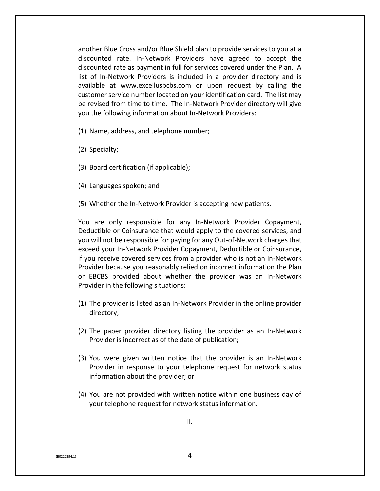another Blue Cross and/or Blue Shield plan to provide services to you at a discounted rate. In-Network Providers have agreed to accept the discounted rate as payment in full for services covered under the Plan. A list of In-Network Providers is included in a provider directory and is available at [www.excellusbcbs.com](http://www.excellusbcbs.com/) or upon request by calling the customer service number located on your identification card. The list may be revised from time to time. The In-Network Provider directory will give you the following information about In-Network Providers:

- (1) Name, address, and telephone number;
- (2) Specialty;
- (3) Board certification (if applicable);
- (4) Languages spoken; and
- (5) Whether the In-Network Provider is accepting new patients.

You are only responsible for any In-Network Provider Copayment, Deductible or Coinsurance that would apply to the covered services, and you will not be responsible for paying for any Out-of-Network charges that exceed your In-Network Provider Copayment, Deductible or Coinsurance, if you receive covered services from a provider who is not an In-Network Provider because you reasonably relied on incorrect information the Plan or EBCBS provided about whether the provider was an In-Network Provider in the following situations:

- (1) The provider is listed as an In-Network Provider in the online provider directory;
- (2) The paper provider directory listing the provider as an In-Network Provider is incorrect as of the date of publication;
- (3) You were given written notice that the provider is an In-Network Provider in response to your telephone request for network status information about the provider; or
- (4) You are not provided with written notice within one business day of your telephone request for network status information.

 ${4}$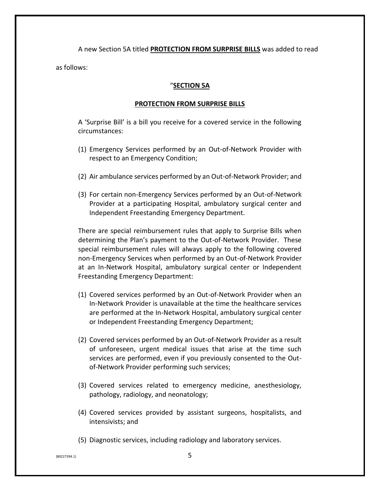A new Section 5A titled **PROTECTION FROM SURPRISE BILLS** was added to read as follows:

## "**SECTION 5A**

## **PROTECTION FROM SURPRISE BILLS**

A 'Surprise Bill' is a bill you receive for a covered service in the following circumstances:

- (1) Emergency Services performed by an Out-of-Network Provider with respect to an Emergency Condition;
- (2) Air ambulance services performed by an Out-of-Network Provider; and
- (3) For certain non-Emergency Services performed by an Out-of-Network Provider at a participating Hospital, ambulatory surgical center and Independent Freestanding Emergency Department.

There are special reimbursement rules that apply to Surprise Bills when determining the Plan's payment to the Out-of-Network Provider. These special reimbursement rules will always apply to the following covered non-Emergency Services when performed by an Out-of-Network Provider at an In-Network Hospital, ambulatory surgical center or Independent Freestanding Emergency Department:

- (1) Covered services performed by an Out-of-Network Provider when an In-Network Provider is unavailable at the time the healthcare services are performed at the In-Network Hospital, ambulatory surgical center or Independent Freestanding Emergency Department;
- (2) Covered services performed by an Out-of-Network Provider as a result of unforeseen, urgent medical issues that arise at the time such services are performed, even if you previously consented to the Outof-Network Provider performing such services;
- (3) Covered services related to emergency medicine, anesthesiology, pathology, radiology, and neonatology;
- (4) Covered services provided by assistant surgeons, hospitalists, and intensivists; and
- (5) Diagnostic services, including radiology and laboratory services.

 $\{B0227394.1\}$  5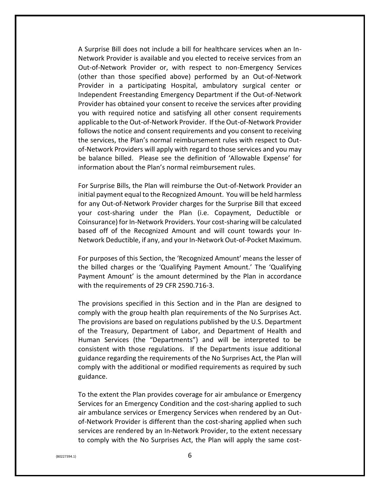A Surprise Bill does not include a bill for healthcare services when an In-Network Provider is available and you elected to receive services from an Out-of-Network Provider or, with respect to non-Emergency Services (other than those specified above) performed by an Out-of-Network Provider in a participating Hospital, ambulatory surgical center or Independent Freestanding Emergency Department if the Out-of-Network Provider has obtained your consent to receive the services after providing you with required notice and satisfying all other consent requirements applicable to the Out-of-Network Provider. If the Out-of-Network Provider follows the notice and consent requirements and you consent to receiving the services, the Plan's normal reimbursement rules with respect to Outof-Network Providers will apply with regard to those services and you may be balance billed. Please see the definition of 'Allowable Expense' for information about the Plan's normal reimbursement rules.

For Surprise Bills, the Plan will reimburse the Out-of-Network Provider an initial payment equal to the Recognized Amount. You will be held harmless for any Out-of-Network Provider charges for the Surprise Bill that exceed your cost-sharing under the Plan (i.e. Copayment, Deductible or Coinsurance) for In-Network Providers. Your cost-sharing will be calculated based off of the Recognized Amount and will count towards your In-Network Deductible, if any, and your In-Network Out-of-Pocket Maximum.

For purposes of this Section, the 'Recognized Amount' means the lesser of the billed charges or the 'Qualifying Payment Amount.' The 'Qualifying Payment Amount' is the amount determined by the Plan in accordance with the requirements of 29 CFR 2590.716-3.

The provisions specified in this Section and in the Plan are designed to comply with the group health plan requirements of the No Surprises Act. The provisions are based on regulations published by the U.S. Department of the Treasury, Department of Labor, and Department of Health and Human Services (the "Departments") and will be interpreted to be consistent with those regulations. If the Departments issue additional guidance regarding the requirements of the No Surprises Act, the Plan will comply with the additional or modified requirements as required by such guidance.

To the extent the Plan provides coverage for air ambulance or Emergency Services for an Emergency Condition and the cost-sharing applied to such air ambulance services or Emergency Services when rendered by an Outof-Network Provider is different than the cost-sharing applied when such services are rendered by an In-Network Provider, to the extent necessary to comply with the No Surprises Act, the Plan will apply the same cost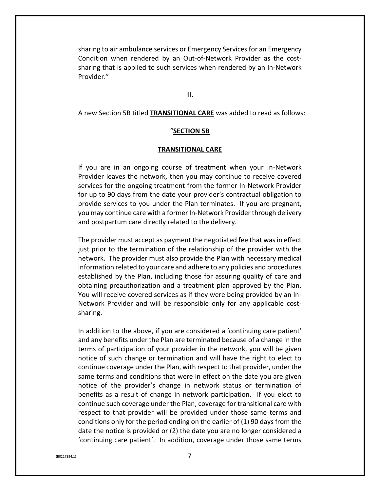sharing to air ambulance services or Emergency Services for an Emergency Condition when rendered by an Out-of-Network Provider as the costsharing that is applied to such services when rendered by an In-Network Provider."

III.

A new Section 5B titled **TRANSITIONAL CARE** was added to read as follows:

### "**SECTION 5B**

#### **TRANSITIONAL CARE**

If you are in an ongoing course of treatment when your In-Network Provider leaves the network, then you may continue to receive covered services for the ongoing treatment from the former In-Network Provider for up to 90 days from the date your provider's contractual obligation to provide services to you under the Plan terminates. If you are pregnant, you may continue care with a former In-Network Provider through delivery and postpartum care directly related to the delivery.

The provider must accept as payment the negotiated fee that was in effect just prior to the termination of the relationship of the provider with the network. The provider must also provide the Plan with necessary medical information related to your care and adhere to any policies and procedures established by the Plan, including those for assuring quality of care and obtaining preauthorization and a treatment plan approved by the Plan. You will receive covered services as if they were being provided by an In-Network Provider and will be responsible only for any applicable costsharing.

In addition to the above, if you are considered a 'continuing care patient' and any benefits under the Plan are terminated because of a change in the terms of participation of your provider in the network, you will be given notice of such change or termination and will have the right to elect to continue coverage under the Plan, with respect to that provider, under the same terms and conditions that were in effect on the date you are given notice of the provider's change in network status or termination of benefits as a result of change in network participation. If you elect to continue such coverage under the Plan, coverage for transitional care with respect to that provider will be provided under those same terms and conditions only for the period ending on the earlier of (1) 90 days from the date the notice is provided or (2) the date you are no longer considered a 'continuing care patient'. In addition, coverage under those same terms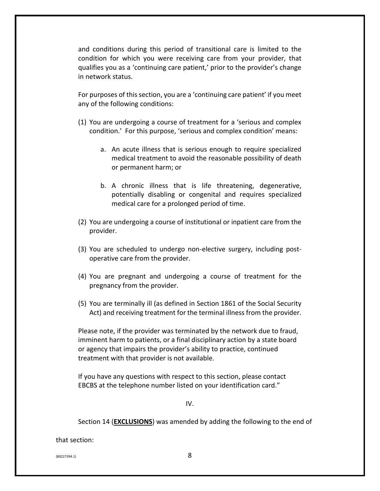and conditions during this period of transitional care is limited to the condition for which you were receiving care from your provider, that qualifies you as a 'continuing care patient,' prior to the provider's change in network status.

For purposes of this section, you are a 'continuing care patient' if you meet any of the following conditions:

- (1) You are undergoing a course of treatment for a 'serious and complex condition.' For this purpose, 'serious and complex condition' means:
	- a. An acute illness that is serious enough to require specialized medical treatment to avoid the reasonable possibility of death or permanent harm; or
	- b. A chronic illness that is life threatening, degenerative, potentially disabling or congenital and requires specialized medical care for a prolonged period of time.
- (2) You are undergoing a course of institutional or inpatient care from the provider.
- (3) You are scheduled to undergo non-elective surgery, including postoperative care from the provider.
- (4) You are pregnant and undergoing a course of treatment for the pregnancy from the provider.
- (5) You are terminally ill (as defined in Section 1861 of the Social Security Act) and receiving treatment for the terminal illness from the provider.

Please note, if the provider was terminated by the network due to fraud, imminent harm to patients, or a final disciplinary action by a state board or agency that impairs the provider's ability to practice, continued treatment with that provider is not available.

If you have any questions with respect to this section, please contact EBCBS at the telephone number listed on your identification card."

IV.

Section 14 (**EXCLUSIONS**) was amended by adding the following to the end of

that section:

 ${8}$